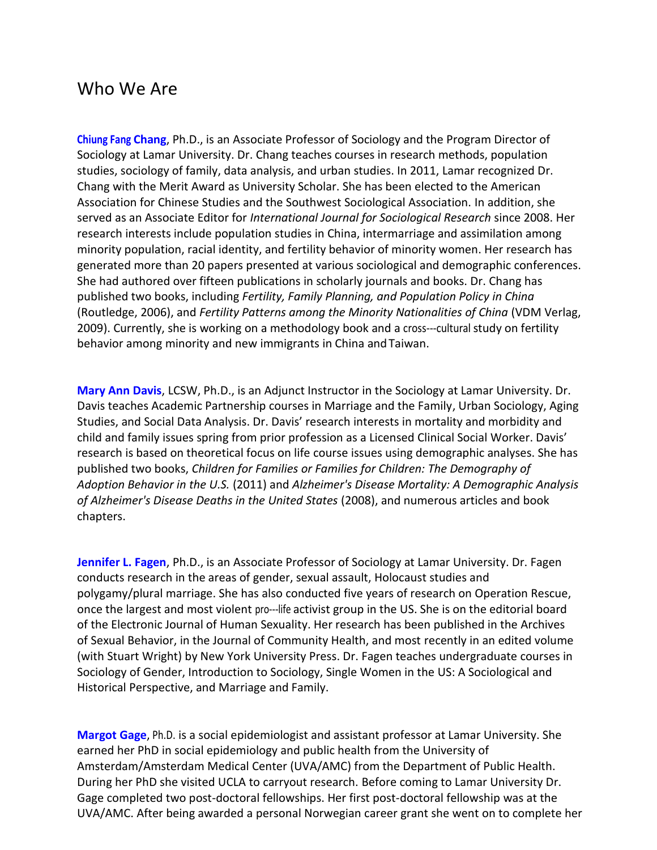## Who We Are

**Chiung Fang Chang**, Ph.D., is an Associate Professor of Sociology and the Program Director of Sociology at Lamar University. Dr. Chang teaches courses in research methods, population studies, sociology of family, data analysis, and urban studies. In 2011, Lamar recognized Dr. Chang with the Merit Award as University Scholar. She has been elected to the American Association for Chinese Studies and the Southwest Sociological Association. In addition, she served as an Associate Editor for *International Journal for Sociological Research* since 2008. Her research interests include population studies in China, intermarriage and assimilation among minority population, racial identity, and fertility behavior of minority women. Her research has generated more than 20 papers presented at various sociological and demographic conferences. She had authored over fifteen publications in scholarly journals and books. Dr. Chang has published two books, including *Fertility, Family Planning, and Population Policy in China*  (Routledge, 2006), and *Fertility Patterns among the Minority Nationalities of China* (VDM Verlag, 2009). Currently, she is working on a methodology book and a cross---cultural study on fertility behavior among minority and new immigrants in China andTaiwan.

**Mary Ann Davis**, LCSW, Ph.D., is an Adjunct Instructor in the Sociology at Lamar University. Dr. Davis teaches Academic Partnership courses in Marriage and the Family, Urban Sociology, Aging Studies, and Social Data Analysis. Dr. Davis' research interests in mortality and morbidity and child and family issues spring from prior profession as a Licensed Clinical Social Worker. Davis' research is based on theoretical focus on life course issues using demographic analyses. She has published two books, *Children for Families or Families for Children: The Demography of Adoption Behavior in the U.S.* (2011) and *Alzheimer's Disease Mortality: A Demographic Analysis of Alzheimer's Disease Deaths in the United States* (2008), and numerous articles and book chapters.

**Jennifer L. Fagen**, Ph.D., is an Associate Professor of Sociology at Lamar University. Dr. Fagen conducts research in the areas of gender, sexual assault, Holocaust studies and polygamy/plural marriage. She has also conducted five years of research on Operation Rescue, once the largest and most violent pro-life activist group in the US. She is on the editorial board of the Electronic Journal of Human Sexuality. Her research has been published in the Archives of Sexual Behavior, in the Journal of Community Health, and most recently in an edited volume (with Stuart Wright) by New York University Press. Dr. Fagen teaches undergraduate courses in Sociology of Gender, Introduction to Sociology, Single Women in the US: A Sociological and Historical Perspective, and Marriage and Family.

**Margot Gage**, Ph.D. is a social epidemiologist and assistant professor at Lamar University. She earned her PhD in social epidemiology and public health from the University of Amsterdam/Amsterdam Medical Center (UVA/AMC) from the Department of Public Health. During her PhD she visited UCLA to carryout research. Before coming to Lamar University Dr. Gage completed two post-doctoral fellowships. Her first post-doctoral fellowship was at the UVA/AMC. After being awarded a personal Norwegian career grant she went on to complete her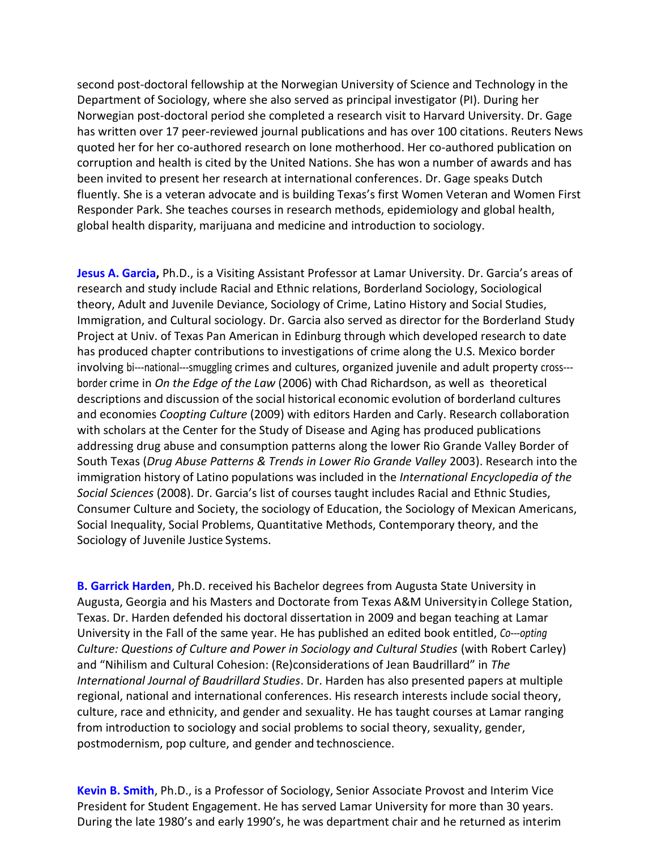second post-doctoral fellowship at the Norwegian University of Science and Technology in the Department of Sociology, where she also served as principal investigator (PI). During her Norwegian post-doctoral period she completed a research visit to Harvard University. Dr. Gage has written over 17 peer-reviewed journal publications and has over 100 citations. Reuters News quoted her for her co-authored research on lone motherhood. Her co-authored publication on corruption and health is cited by the United Nations. She has won a number of awards and has been invited to present her research at international conferences. Dr. Gage speaks Dutch fluently. She is a veteran advocate and is building Texas's first Women Veteran and Women First Responder Park. She teaches courses in research methods, epidemiology and global health, global health disparity, marijuana and medicine and introduction to sociology.

**Jesus A. Garcia,** Ph.D., is a Visiting Assistant Professor at Lamar University. Dr. Garcia's areas of research and study include Racial and Ethnic relations, Borderland Sociology, Sociological theory, Adult and Juvenile Deviance, Sociology of Crime, Latino History and Social Studies, Immigration, and Cultural sociology. Dr. Garcia also served as director for the Borderland Study Project at Univ. of Texas Pan American in Edinburg through which developed research to date has produced chapter contributions to investigations of crime along the U.S. Mexico border involving bi---national---smuggling crimes and cultures, organized juvenile and adult property cross--border crime in *On the Edge of the Law* (2006) with Chad Richardson, as well as theoretical descriptions and discussion of the social historical economic evolution of borderland cultures and economies *Coopting Culture* (2009) with editors Harden and Carly. Research collaboration with scholars at the Center for the Study of Disease and Aging has produced publications addressing drug abuse and consumption patterns along the lower Rio Grande Valley Border of South Texas (*Drug Abuse Patterns & Trends in Lower Rio Grande Valley* 2003). Research into the immigration history of Latino populations was included in the *International Encyclopedia of the Social Sciences* (2008). Dr. Garcia's list of courses taught includes Racial and Ethnic Studies, Consumer Culture and Society, the sociology of Education, the Sociology of Mexican Americans, Social Inequality, Social Problems, Quantitative Methods, Contemporary theory, and the Sociology of Juvenile Justice Systems.

**B. Garrick Harden**, Ph.D. received his Bachelor degrees from Augusta State University in Augusta, Georgia and his Masters and Doctorate from Texas A&M Universityin College Station, Texas. Dr. Harden defended his doctoral dissertation in 2009 and began teaching at Lamar University in the Fall of the same year. He has published an edited book entitled, *Co-opting Culture: Questions of Culture and Power in Sociology and Cultural Studies (with Robert Carley)* and "Nihilism and Cultural Cohesion: (Re)considerations of Jean Baudrillard" in *The International Journal of Baudrillard Studies*. Dr. Harden has also presented papers at multiple regional, national and international conferences. His research interests include social theory, culture, race and ethnicity, and gender and sexuality. He has taught courses at Lamar ranging from introduction to sociology and social problems to social theory, sexuality, gender, postmodernism, pop culture, and gender and technoscience.

**Kevin B. Smith**, Ph.D., is a Professor of Sociology, Senior Associate Provost and Interim Vice President for Student Engagement. He has served Lamar University for more than 30 years. During the late 1980's and early 1990's, he was department chair and he returned as interim